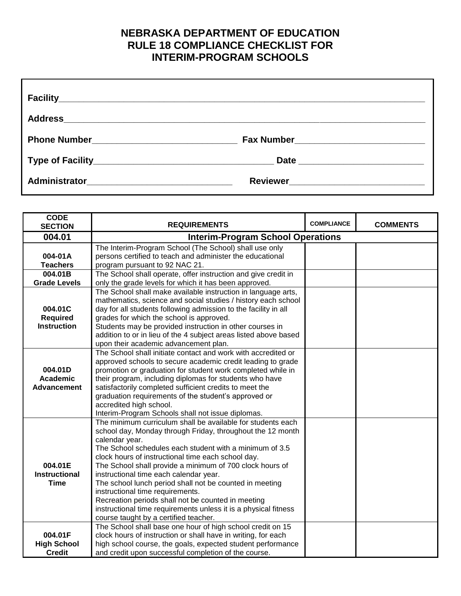## **NEBRASKA DEPARTMENT OF EDUCATION RULE 18 COMPLIANCE CHECKLIST FOR INTERIM-PROGRAM SCHOOLS**

| <b>CODE</b><br><b>SECTION</b>                    | <b>REQUIREMENTS</b>                                                                                                                                                                                                                                                                                                                                                                                                                                                                                                                                                                                                                 | <b>COMPLIANCE</b> | <b>COMMENTS</b> |
|--------------------------------------------------|-------------------------------------------------------------------------------------------------------------------------------------------------------------------------------------------------------------------------------------------------------------------------------------------------------------------------------------------------------------------------------------------------------------------------------------------------------------------------------------------------------------------------------------------------------------------------------------------------------------------------------------|-------------------|-----------------|
| 004.01                                           | <b>Interim-Program School Operations</b>                                                                                                                                                                                                                                                                                                                                                                                                                                                                                                                                                                                            |                   |                 |
| 004-01A<br><b>Teachers</b>                       | The Interim-Program School (The School) shall use only<br>persons certified to teach and administer the educational<br>program pursuant to 92 NAC 21.                                                                                                                                                                                                                                                                                                                                                                                                                                                                               |                   |                 |
| 004.01B<br><b>Grade Levels</b>                   | The School shall operate, offer instruction and give credit in<br>only the grade levels for which it has been approved.                                                                                                                                                                                                                                                                                                                                                                                                                                                                                                             |                   |                 |
| 004.01C<br><b>Required</b><br><b>Instruction</b> | The School shall make available instruction in language arts,<br>mathematics, science and social studies / history each school<br>day for all students following admission to the facility in all<br>grades for which the school is approved.<br>Students may be provided instruction in other courses in<br>addition to or in lieu of the 4 subject areas listed above based<br>upon their academic advancement plan.                                                                                                                                                                                                              |                   |                 |
| 004.01D<br><b>Academic</b><br><b>Advancement</b> | The School shall initiate contact and work with accredited or<br>approved schools to secure academic credit leading to grade<br>promotion or graduation for student work completed while in<br>their program, including diplomas for students who have<br>satisfactorily completed sufficient credits to meet the<br>graduation requirements of the student's approved or<br>accredited high school.<br>Interim-Program Schools shall not issue diplomas.                                                                                                                                                                           |                   |                 |
| 004.01E<br><b>Instructional</b><br><b>Time</b>   | The minimum curriculum shall be available for students each<br>school day, Monday through Friday, throughout the 12 month<br>calendar year.<br>The School schedules each student with a minimum of 3.5<br>clock hours of instructional time each school day.<br>The School shall provide a minimum of 700 clock hours of<br>instructional time each calendar year.<br>The school lunch period shall not be counted in meeting<br>instructional time requirements.<br>Recreation periods shall not be counted in meeting<br>instructional time requirements unless it is a physical fitness<br>course taught by a certified teacher. |                   |                 |
| 004.01F<br><b>High School</b><br><b>Credit</b>   | The School shall base one hour of high school credit on 15<br>clock hours of instruction or shall have in writing, for each<br>high school course, the goals, expected student performance<br>and credit upon successful completion of the course.                                                                                                                                                                                                                                                                                                                                                                                  |                   |                 |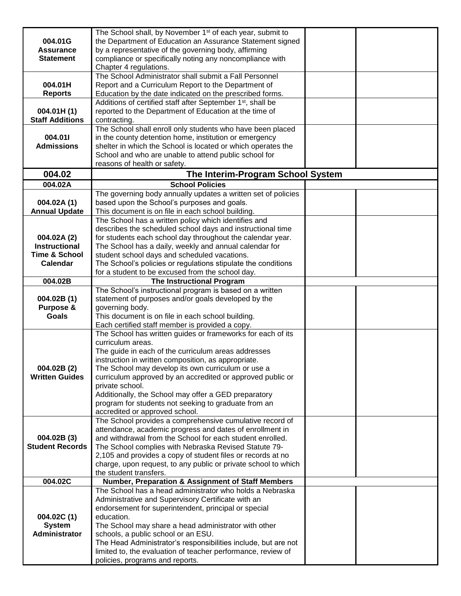|                                      | The School shall, by November 1 <sup>st</sup> of each year, submit to                                                    |  |
|--------------------------------------|--------------------------------------------------------------------------------------------------------------------------|--|
| 004.01G                              | the Department of Education an Assurance Statement signed                                                                |  |
| <b>Assurance</b><br><b>Statement</b> | by a representative of the governing body, affirming<br>compliance or specifically noting any noncompliance with         |  |
|                                      | Chapter 4 regulations.                                                                                                   |  |
|                                      | The School Administrator shall submit a Fall Personnel                                                                   |  |
| 004.01H                              | Report and a Curriculum Report to the Department of                                                                      |  |
| <b>Reports</b>                       | Education by the date indicated on the prescribed forms.                                                                 |  |
|                                      | Additions of certified staff after September 1 <sup>st</sup> , shall be                                                  |  |
| 004.01H(1)                           | reported to the Department of Education at the time of                                                                   |  |
| <b>Staff Additions</b>               | contracting.                                                                                                             |  |
| 004.011                              | The School shall enroll only students who have been placed                                                               |  |
| <b>Admissions</b>                    | in the county detention home, institution or emergency<br>shelter in which the School is located or which operates the   |  |
|                                      | School and who are unable to attend public school for                                                                    |  |
|                                      | reasons of health or safety.                                                                                             |  |
| 004.02                               | The Interim-Program School System                                                                                        |  |
| 004.02A                              | <b>School Policies</b>                                                                                                   |  |
|                                      | The governing body annually updates a written set of policies                                                            |  |
| 004.02A(1)                           | based upon the School's purposes and goals.                                                                              |  |
| <b>Annual Update</b>                 | This document is on file in each school building.                                                                        |  |
|                                      | The School has a written policy which identifies and                                                                     |  |
| 004.02A(2)                           | describes the scheduled school days and instructional time<br>for students each school day throughout the calendar year. |  |
| <b>Instructional</b>                 | The School has a daily, weekly and annual calendar for                                                                   |  |
| <b>Time &amp; School</b>             | student school days and scheduled vacations.                                                                             |  |
| Calendar                             | The School's policies or regulations stipulate the conditions                                                            |  |
|                                      | for a student to be excused from the school day.                                                                         |  |
| 004.02B                              | <b>The Instructional Program</b>                                                                                         |  |
| 004.02B(1)                           | The School's instructional program is based on a written<br>statement of purposes and/or goals developed by the          |  |
| Purpose &                            | governing body.                                                                                                          |  |
| <b>Goals</b>                         | This document is on file in each school building.                                                                        |  |
|                                      | Each certified staff member is provided a copy.                                                                          |  |
|                                      | The School has written guides or frameworks for each of its                                                              |  |
|                                      | curriculum areas.                                                                                                        |  |
|                                      | The guide in each of the curriculum areas addresses                                                                      |  |
| 004.02B (2)                          | instruction in written composition, as appropriate.<br>The School may develop its own curriculum or use a                |  |
| <b>Written Guides</b>                | curriculum approved by an accredited or approved public or                                                               |  |
|                                      | private school.                                                                                                          |  |
|                                      | Additionally, the School may offer a GED preparatory                                                                     |  |
|                                      | program for students not seeking to graduate from an                                                                     |  |
|                                      | accredited or approved school.                                                                                           |  |
|                                      | The School provides a comprehensive cumulative record of                                                                 |  |
| 004.02B (3)                          | attendance, academic progress and dates of enrollment in<br>and withdrawal from the School for each student enrolled.    |  |
| <b>Student Records</b>               | The School complies with Nebraska Revised Statute 79-                                                                    |  |
|                                      | 2,105 and provides a copy of student files or records at no                                                              |  |
|                                      | charge, upon request, to any public or private school to which                                                           |  |
|                                      | the student transfers.                                                                                                   |  |
| 004.02C                              | Number, Preparation & Assignment of Staff Members                                                                        |  |
|                                      | The School has a head administrator who holds a Nebraska<br>Administrative and Supervisory Certificate with an           |  |
|                                      | endorsement for superintendent, principal or special                                                                     |  |
| 004.02C(1)                           | education.                                                                                                               |  |
| <b>System</b>                        | The School may share a head administrator with other                                                                     |  |
| Administrator                        | schools, a public school or an ESU.                                                                                      |  |
|                                      | The Head Administrator's responsibilities include, but are not                                                           |  |
|                                      | limited to, the evaluation of teacher performance, review of                                                             |  |
|                                      | policies, programs and reports.                                                                                          |  |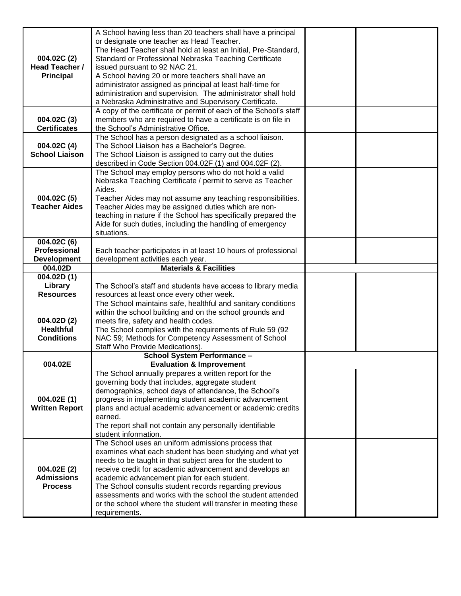| 004.02C (2)<br>Head Teacher /<br><b>Principal</b>        | A School having less than 20 teachers shall have a principal<br>or designate one teacher as Head Teacher.<br>The Head Teacher shall hold at least an Initial, Pre-Standard,<br>Standard or Professional Nebraska Teaching Certificate<br>issued pursuant to 92 NAC 21.<br>A School having 20 or more teachers shall have an<br>administrator assigned as principal at least half-time for<br>administration and supervision. The administrator shall hold<br>a Nebraska Administrative and Supervisory Certificate. |  |
|----------------------------------------------------------|---------------------------------------------------------------------------------------------------------------------------------------------------------------------------------------------------------------------------------------------------------------------------------------------------------------------------------------------------------------------------------------------------------------------------------------------------------------------------------------------------------------------|--|
| 004.02C (3)<br><b>Certificates</b>                       | A copy of the certificate or permit of each of the School's staff<br>members who are required to have a certificate is on file in<br>the School's Administrative Office.                                                                                                                                                                                                                                                                                                                                            |  |
| 004.02C (4)<br><b>School Liaison</b>                     | The School has a person designated as a school liaison.<br>The School Liaison has a Bachelor's Degree.<br>The School Liaison is assigned to carry out the duties<br>described in Code Section 004.02F (1) and 004.02F (2).                                                                                                                                                                                                                                                                                          |  |
| 004.02C (5)<br><b>Teacher Aides</b>                      | The School may employ persons who do not hold a valid<br>Nebraska Teaching Certificate / permit to serve as Teacher<br>Aides.<br>Teacher Aides may not assume any teaching responsibilities.<br>Teacher Aides may be assigned duties which are non-<br>teaching in nature if the School has specifically prepared the<br>Aide for such duties, including the handling of emergency<br>situations.                                                                                                                   |  |
| 004.02C (6)<br><b>Professional</b><br><b>Development</b> | Each teacher participates in at least 10 hours of professional<br>development activities each year.                                                                                                                                                                                                                                                                                                                                                                                                                 |  |
| 004.02D                                                  | <b>Materials &amp; Facilities</b>                                                                                                                                                                                                                                                                                                                                                                                                                                                                                   |  |
| 004.02D(1)<br>Library<br><b>Resources</b>                | The School's staff and students have access to library media<br>resources at least once every other week.                                                                                                                                                                                                                                                                                                                                                                                                           |  |
| 004.02D(2)<br><b>Healthful</b><br><b>Conditions</b>      | The School maintains safe, healthful and sanitary conditions<br>within the school building and on the school grounds and<br>meets fire, safety and health codes.<br>The School complies with the requirements of Rule 59 (92)<br>NAC 59; Methods for Competency Assessment of School<br>Staff Who Provide Medications).                                                                                                                                                                                             |  |
| 004.02E                                                  | <b>School System Performance -</b><br><b>Evaluation &amp; Improvement</b>                                                                                                                                                                                                                                                                                                                                                                                                                                           |  |
| 004.02E(1)<br><b>Written Report</b>                      | The School annually prepares a written report for the<br>governing body that includes, aggregate student<br>demographics, school days of attendance, the School's<br>progress in implementing student academic advancement<br>plans and actual academic advancement or academic credits<br>earned.<br>The report shall not contain any personally identifiable<br>student information.                                                                                                                              |  |
| 004.02E (2)<br><b>Admissions</b><br><b>Process</b>       | The School uses an uniform admissions process that<br>examines what each student has been studying and what yet<br>needs to be taught in that subject area for the student to<br>receive credit for academic advancement and develops an<br>academic advancement plan for each student.<br>The School consults student records regarding previous<br>assessments and works with the school the student attended<br>or the school where the student will transfer in meeting these<br>requirements.                  |  |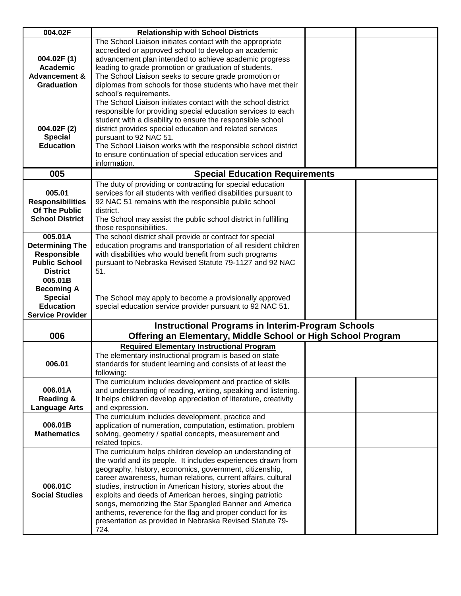| 004.02F                            | <b>Relationship with School Districts</b>                                                                                          |  |
|------------------------------------|------------------------------------------------------------------------------------------------------------------------------------|--|
|                                    | The School Liaison initiates contact with the appropriate                                                                          |  |
|                                    | accredited or approved school to develop an academic                                                                               |  |
| 004.02F(1)                         | advancement plan intended to achieve academic progress                                                                             |  |
| <b>Academic</b>                    | leading to grade promotion or graduation of students.                                                                              |  |
| <b>Advancement &amp;</b>           | The School Liaison seeks to secure grade promotion or                                                                              |  |
| <b>Graduation</b>                  | diplomas from schools for those students who have met their                                                                        |  |
|                                    | school's requirements.                                                                                                             |  |
|                                    | The School Liaison initiates contact with the school district                                                                      |  |
|                                    | responsible for providing special education services to each                                                                       |  |
|                                    | student with a disability to ensure the responsible school                                                                         |  |
| 004.02F (2)                        | district provides special education and related services                                                                           |  |
| <b>Special</b>                     | pursuant to 92 NAC 51.                                                                                                             |  |
| <b>Education</b>                   | The School Liaison works with the responsible school district                                                                      |  |
|                                    | to ensure continuation of special education services and                                                                           |  |
|                                    | information.                                                                                                                       |  |
| 005                                | <b>Special Education Requirements</b>                                                                                              |  |
|                                    | The duty of providing or contracting for special education                                                                         |  |
| 005.01                             | services for all students with verified disabilities pursuant to                                                                   |  |
| <b>Responsibilities</b>            | 92 NAC 51 remains with the responsible public school                                                                               |  |
| <b>Of The Public</b>               | district.                                                                                                                          |  |
| <b>School District</b>             | The School may assist the public school district in fulfilling                                                                     |  |
|                                    | those responsibilities.                                                                                                            |  |
| 005.01A                            | The school district shall provide or contract for special                                                                          |  |
| <b>Determining The</b>             | education programs and transportation of all resident children                                                                     |  |
| <b>Responsible</b>                 | with disabilities who would benefit from such programs                                                                             |  |
| <b>Public School</b>               | pursuant to Nebraska Revised Statute 79-1127 and 92 NAC                                                                            |  |
| <b>District</b>                    | 51.                                                                                                                                |  |
| 005.01B                            |                                                                                                                                    |  |
| <b>Becoming A</b>                  |                                                                                                                                    |  |
| <b>Special</b><br><b>Education</b> | The School may apply to become a provisionally approved                                                                            |  |
| <b>Service Provider</b>            | special education service provider pursuant to 92 NAC 51.                                                                          |  |
|                                    |                                                                                                                                    |  |
|                                    | <b>Instructional Programs in Interim-Program Schools</b>                                                                           |  |
| 006                                | Offering an Elementary, Middle School or High School Program                                                                       |  |
|                                    | <b>Required Elementary Instructional Program</b>                                                                                   |  |
|                                    | The elementary instructional program is based on state                                                                             |  |
| 006.01                             | standards for student learning and consists of at least the                                                                        |  |
|                                    | following:                                                                                                                         |  |
|                                    | The curriculum includes development and practice of skills                                                                         |  |
| 006.01A<br><b>Reading &amp;</b>    | and understanding of reading, writing, speaking and listening.<br>It helps children develop appreciation of literature, creativity |  |
| <b>Language Arts</b>               | and expression.                                                                                                                    |  |
|                                    | The curriculum includes development, practice and                                                                                  |  |
| 006.01B                            | application of numeration, computation, estimation, problem                                                                        |  |
| <b>Mathematics</b>                 | solving, geometry / spatial concepts, measurement and                                                                              |  |
|                                    | related topics.                                                                                                                    |  |
|                                    | The curriculum helps children develop an understanding of                                                                          |  |
|                                    | the world and its people. It includes experiences drawn from                                                                       |  |
|                                    | geography, history, economics, government, citizenship,                                                                            |  |
|                                    | career awareness, human relations, current affairs, cultural                                                                       |  |
| 006.01C                            | studies, instruction in American history, stories about the                                                                        |  |
| <b>Social Studies</b>              | exploits and deeds of American heroes, singing patriotic                                                                           |  |
|                                    | songs, memorizing the Star Spangled Banner and America                                                                             |  |
|                                    | anthems, reverence for the flag and proper conduct for its                                                                         |  |
|                                    | presentation as provided in Nebraska Revised Statute 79-                                                                           |  |
|                                    | 724.                                                                                                                               |  |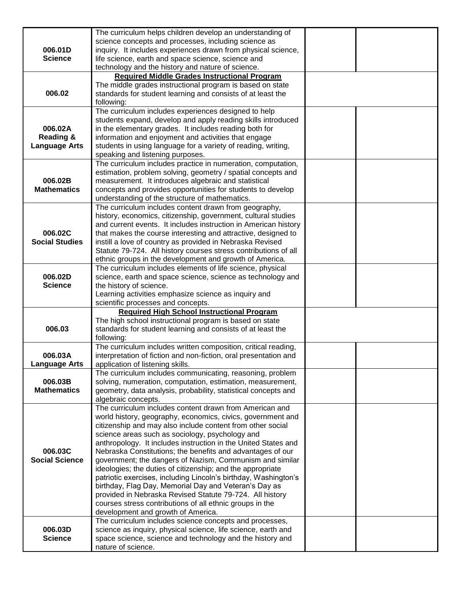| 006.01D<br><b>Science</b>                               | The curriculum helps children develop an understanding of<br>science concepts and processes, including science as<br>inquiry. It includes experiences drawn from physical science,<br>life science, earth and space science, science and                                                                                                                                                                                                                                                                                                                                                                                                                                                                                                                                                    |  |
|---------------------------------------------------------|---------------------------------------------------------------------------------------------------------------------------------------------------------------------------------------------------------------------------------------------------------------------------------------------------------------------------------------------------------------------------------------------------------------------------------------------------------------------------------------------------------------------------------------------------------------------------------------------------------------------------------------------------------------------------------------------------------------------------------------------------------------------------------------------|--|
|                                                         | technology and the history and nature of science.                                                                                                                                                                                                                                                                                                                                                                                                                                                                                                                                                                                                                                                                                                                                           |  |
| 006.02                                                  | <b>Required Middle Grades Instructional Program</b><br>The middle grades instructional program is based on state<br>standards for student learning and consists of at least the<br>following:                                                                                                                                                                                                                                                                                                                                                                                                                                                                                                                                                                                               |  |
| 006.02A<br><b>Reading &amp;</b><br><b>Language Arts</b> | The curriculum includes experiences designed to help<br>students expand, develop and apply reading skills introduced<br>in the elementary grades. It includes reading both for<br>information and enjoyment and activities that engage<br>students in using language for a variety of reading, writing,<br>speaking and listening purposes.                                                                                                                                                                                                                                                                                                                                                                                                                                                 |  |
| 006.02B<br><b>Mathematics</b>                           | The curriculum includes practice in numeration, computation,<br>estimation, problem solving, geometry / spatial concepts and<br>measurement. It introduces algebraic and statistical<br>concepts and provides opportunities for students to develop<br>understanding of the structure of mathematics.                                                                                                                                                                                                                                                                                                                                                                                                                                                                                       |  |
| 006.02C<br><b>Social Studies</b>                        | The curriculum includes content drawn from geography,<br>history, economics, citizenship, government, cultural studies<br>and current events. It includes instruction in American history<br>that makes the course interesting and attractive, designed to<br>instill a love of country as provided in Nebraska Revised<br>Statute 79-724. All history courses stress contributions of all<br>ethnic groups in the development and growth of America.                                                                                                                                                                                                                                                                                                                                       |  |
| 006.02D<br><b>Science</b>                               | The curriculum includes elements of life science, physical<br>science, earth and space science, science as technology and<br>the history of science.<br>Learning activities emphasize science as inquiry and<br>scientific processes and concepts.                                                                                                                                                                                                                                                                                                                                                                                                                                                                                                                                          |  |
| 006.03                                                  | <b>Required High School Instructional Program</b><br>The high school instructional program is based on state<br>standards for student learning and consists of at least the<br>following:                                                                                                                                                                                                                                                                                                                                                                                                                                                                                                                                                                                                   |  |
| 006.03A<br><b>Language Arts</b>                         | The curriculum includes written composition, critical reading,<br>interpretation of fiction and non-fiction, oral presentation and<br>application of listening skills.                                                                                                                                                                                                                                                                                                                                                                                                                                                                                                                                                                                                                      |  |
| 006.03B<br><b>Mathematics</b>                           | The curriculum includes communicating, reasoning, problem<br>solving, numeration, computation, estimation, measurement,<br>geometry, data analysis, probability, statistical concepts and<br>algebraic concepts.                                                                                                                                                                                                                                                                                                                                                                                                                                                                                                                                                                            |  |
| 006.03C<br><b>Social Science</b>                        | The curriculum includes content drawn from American and<br>world history, geography, economics, civics, government and<br>citizenship and may also include content from other social<br>science areas such as sociology, psychology and<br>anthropology. It includes instruction in the United States and<br>Nebraska Constitutions; the benefits and advantages of our<br>government; the dangers of Nazism, Communism and similar<br>ideologies; the duties of citizenship; and the appropriate<br>patriotic exercises, including Lincoln's birthday, Washington's<br>birthday, Flag Day, Memorial Day and Veteran's Day as<br>provided in Nebraska Revised Statute 79-724. All history<br>courses stress contributions of all ethnic groups in the<br>development and growth of America. |  |
| 006.03D<br><b>Science</b>                               | The curriculum includes science concepts and processes,<br>science as inquiry, physical science, life science, earth and<br>space science, science and technology and the history and<br>nature of science.                                                                                                                                                                                                                                                                                                                                                                                                                                                                                                                                                                                 |  |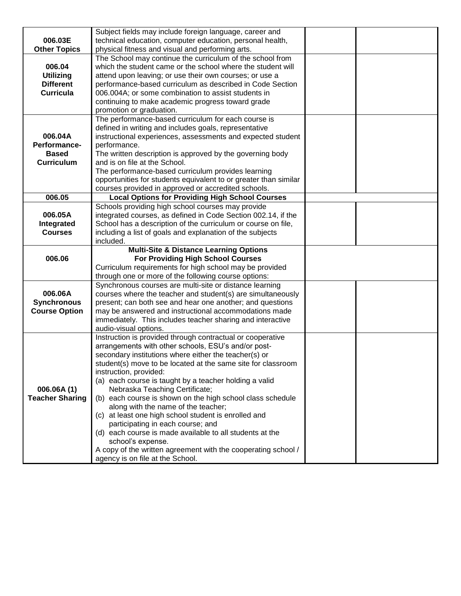|                        | Subject fields may include foreign language, career and                       |  |
|------------------------|-------------------------------------------------------------------------------|--|
| 006.03E                | technical education, computer education, personal health,                     |  |
| <b>Other Topics</b>    | physical fitness and visual and performing arts.                              |  |
|                        | The School may continue the curriculum of the school from                     |  |
| 006.04                 | which the student came or the school where the student will                   |  |
| <b>Utilizing</b>       | attend upon leaving; or use their own courses; or use a                       |  |
| <b>Different</b>       | performance-based curriculum as described in Code Section                     |  |
| <b>Curricula</b>       | 006.004A; or some combination to assist students in                           |  |
|                        | continuing to make academic progress toward grade                             |  |
|                        | promotion or graduation.                                                      |  |
|                        | The performance-based curriculum for each course is                           |  |
|                        | defined in writing and includes goals, representative                         |  |
| 006.04A                | instructional experiences, assessments and expected student                   |  |
| Performance-           | performance.                                                                  |  |
| <b>Based</b>           | The written description is approved by the governing body                     |  |
| <b>Curriculum</b>      | and is on file at the School.                                                 |  |
|                        | The performance-based curriculum provides learning                            |  |
|                        | opportunities for students equivalent to or greater than similar              |  |
|                        | courses provided in approved or accredited schools.                           |  |
| 006.05                 | <b>Local Options for Providing High School Courses</b>                        |  |
|                        | Schools providing high school courses may provide                             |  |
| 006.05A                | integrated courses, as defined in Code Section 002.14, if the                 |  |
| Integrated             | School has a description of the curriculum or course on file,                 |  |
| <b>Courses</b>         | including a list of goals and explanation of the subjects                     |  |
|                        | included.                                                                     |  |
|                        |                                                                               |  |
|                        | <b>Multi-Site &amp; Distance Learning Options</b>                             |  |
| 006.06                 | <b>For Providing High School Courses</b>                                      |  |
|                        | Curriculum requirements for high school may be provided                       |  |
|                        | through one or more of the following course options:                          |  |
|                        | Synchronous courses are multi-site or distance learning                       |  |
| 006.06A                | courses where the teacher and student(s) are simultaneously                   |  |
| <b>Synchronous</b>     | present; can both see and hear one another; and questions                     |  |
| <b>Course Option</b>   | may be answered and instructional accommodations made                         |  |
|                        | immediately. This includes teacher sharing and interactive                    |  |
|                        | audio-visual options.                                                         |  |
|                        | Instruction is provided through contractual or cooperative                    |  |
|                        | arrangements with other schools, ESU's and/or post-                           |  |
|                        | secondary institutions where either the teacher(s) or                         |  |
|                        | student(s) move to be located at the same site for classroom                  |  |
|                        | instruction, provided:                                                        |  |
|                        | (a) each course is taught by a teacher holding a valid                        |  |
| 006.06A(1)             | Nebraska Teaching Certificate;                                                |  |
| <b>Teacher Sharing</b> | (b) each course is shown on the high school class schedule                    |  |
|                        | along with the name of the teacher;                                           |  |
|                        | (c) at least one high school student is enrolled and                          |  |
|                        | participating in each course; and                                             |  |
|                        | (d) each course is made available to all students at the<br>school's expense. |  |
|                        | A copy of the written agreement with the cooperating school /                 |  |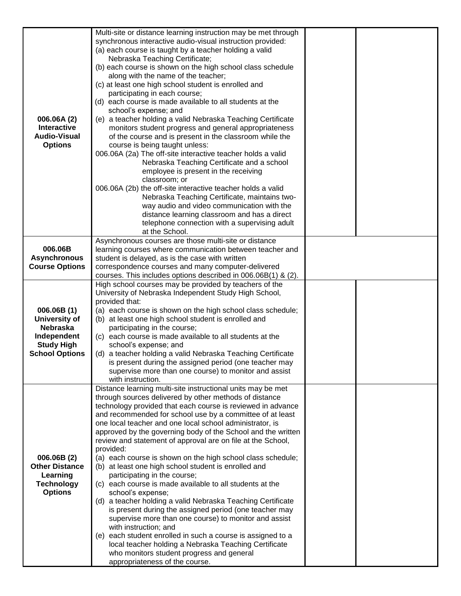| 006.06A (2)<br><b>Interactive</b><br><b>Audio-Visual</b><br><b>Options</b>                                  | Multi-site or distance learning instruction may be met through<br>synchronous interactive audio-visual instruction provided:<br>(a) each course is taught by a teacher holding a valid<br>Nebraska Teaching Certificate;<br>(b) each course is shown on the high school class schedule<br>along with the name of the teacher;<br>(c) at least one high school student is enrolled and<br>participating in each course;<br>(d) each course is made available to all students at the<br>school's expense; and<br>(e) a teacher holding a valid Nebraska Teaching Certificate<br>monitors student progress and general appropriateness<br>of the course and is present in the classroom while the<br>course is being taught unless:<br>006.06A (2a) The off-site interactive teacher holds a valid<br>Nebraska Teaching Certificate and a school<br>employee is present in the receiving<br>classroom; or<br>006.06A (2b) the off-site interactive teacher holds a valid<br>Nebraska Teaching Certificate, maintains two-<br>way audio and video communication with the<br>distance learning classroom and has a direct<br>telephone connection with a supervising adult<br>at the School. |  |
|-------------------------------------------------------------------------------------------------------------|-----------------------------------------------------------------------------------------------------------------------------------------------------------------------------------------------------------------------------------------------------------------------------------------------------------------------------------------------------------------------------------------------------------------------------------------------------------------------------------------------------------------------------------------------------------------------------------------------------------------------------------------------------------------------------------------------------------------------------------------------------------------------------------------------------------------------------------------------------------------------------------------------------------------------------------------------------------------------------------------------------------------------------------------------------------------------------------------------------------------------------------------------------------------------------------------|--|
| 006.06B                                                                                                     | Asynchronous courses are those multi-site or distance<br>learning courses where communication between teacher and                                                                                                                                                                                                                                                                                                                                                                                                                                                                                                                                                                                                                                                                                                                                                                                                                                                                                                                                                                                                                                                                       |  |
| <b>Asynchronous</b>                                                                                         | student is delayed, as is the case with written                                                                                                                                                                                                                                                                                                                                                                                                                                                                                                                                                                                                                                                                                                                                                                                                                                                                                                                                                                                                                                                                                                                                         |  |
| <b>Course Options</b>                                                                                       | correspondence courses and many computer-delivered<br>courses. This includes options described in 006.06B(1) & (2).                                                                                                                                                                                                                                                                                                                                                                                                                                                                                                                                                                                                                                                                                                                                                                                                                                                                                                                                                                                                                                                                     |  |
| 006.06B(1)<br>University of<br><b>Nebraska</b><br>Independent<br><b>Study High</b><br><b>School Options</b> | High school courses may be provided by teachers of the<br>University of Nebraska Independent Study High School,<br>provided that:<br>(a) each course is shown on the high school class schedule;<br>(b) at least one high school student is enrolled and<br>participating in the course;<br>(c) each course is made available to all students at the<br>school's expense; and<br>(d) a teacher holding a valid Nebraska Teaching Certificate<br>is present during the assigned period (one teacher may<br>supervise more than one course) to monitor and assist<br>with instruction.                                                                                                                                                                                                                                                                                                                                                                                                                                                                                                                                                                                                    |  |
| 006.06B (2)<br><b>Other Distance</b><br>Learning<br><b>Technology</b><br><b>Options</b>                     | Distance learning multi-site instructional units may be met<br>through sources delivered by other methods of distance<br>technology provided that each course is reviewed in advance<br>and recommended for school use by a committee of at least<br>one local teacher and one local school administrator, is<br>approved by the governing body of the School and the written<br>review and statement of approval are on file at the School,<br>provided:<br>(a) each course is shown on the high school class schedule;<br>(b) at least one high school student is enrolled and<br>participating in the course;<br>(c) each course is made available to all students at the<br>school's expense;<br>(d) a teacher holding a valid Nebraska Teaching Certificate<br>is present during the assigned period (one teacher may<br>supervise more than one course) to monitor and assist<br>with instruction; and<br>(e) each student enrolled in such a course is assigned to a<br>local teacher holding a Nebraska Teaching Certificate<br>who monitors student progress and general<br>appropriateness of the course.                                                                     |  |